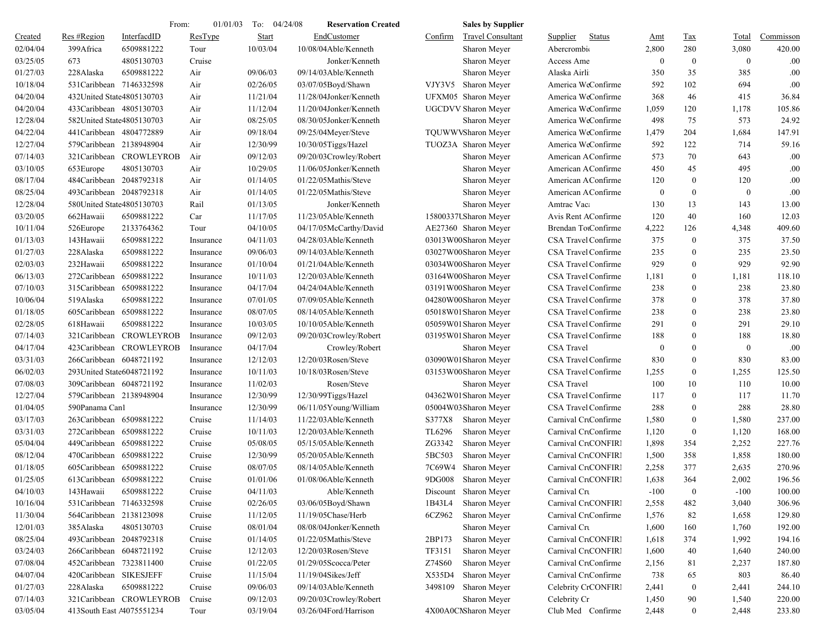|          |                             | From:                    | 01/01/03  | To:<br>04/24/08 | <b>Reservation Created</b> | <b>Sales by Supplier</b>            |                           |              |                  |                  |           |
|----------|-----------------------------|--------------------------|-----------|-----------------|----------------------------|-------------------------------------|---------------------------|--------------|------------------|------------------|-----------|
| Created  | Res #Region                 | InterfacdID              | ResType   | <b>Start</b>    | EndCustomer                | Confirm<br><b>Travel Consultant</b> | Supplier<br><b>Status</b> | <u>Amt</u>   | <b>Tax</b>       | <b>Total</b>     | Commisson |
| 02/04/04 | 399Africa                   | 6509881222               | Tour      | 10/03/04        | 10/08/04Able/Kenneth       | Sharon Meyer                        | Abercrombio               | 2,800        | 280              | 3,080            | 420.00    |
| 03/25/05 | 673                         | 4805130703               | Cruise    |                 | Jonker/Kenneth             | Sharon Meyer                        | Access Ame                | $\mathbf{0}$ | $\overline{0}$   | $\mathbf{0}$     | .00       |
| 01/27/03 | 228Alaska                   | 6509881222               | Air       | 09/06/03        | 09/14/03Able/Kenneth       | Sharon Meyer                        | Alaska Airli              | 350          | 35               | 385              | .00       |
| 10/18/04 | 531 Caribbean 7146332598    |                          | Air       | 02/26/05        | 03/07/05Boyd/Shawn         | VJY3V5<br>Sharon Meyer              | America WeConfirme        | 592          | 102              | 694              | .00       |
| 04/20/04 | 432United State4805130703   |                          | Air       | 11/21/04        | 11/28/04Jonker/Kenneth     | UFXM05 Sharon Meyer                 | America WeConfirme        | 368          | 46               | 415              | 36.84     |
| 04/20/04 | 433Caribbean 4805130703     |                          | Air       | 11/12/04        | 11/20/04Jonker/Kenneth     | <b>UGCDVV Sharon Meyer</b>          | America WeConfirme        | 1,059        | 120              | 1,178            | 105.86    |
| 12/28/04 | 582United State4805130703   |                          | Air       | 08/25/05        | 08/30/05Jonker/Kenneth     | Sharon Meyer                        | America WeConfirme        | 498          | 75               | 573              | 24.92     |
| 04/22/04 | 441 Caribbean 4804772889    |                          | Air       | 09/18/04        | 09/25/04Meyer/Steve        | TQUWWVSharon Meyer                  | America WeConfirme        | 1,479        | 204              | 1,684            | 147.91    |
| 12/27/04 | 579Caribbean 2138948904     |                          | Air       | 12/30/99        | 10/30/05Tiggs/Hazel        | TUOZ3A Sharon Meyer                 | America WeConfirme        | 592          | 122              | 714              | 59.16     |
| 07/14/03 |                             | 321 Caribbean CROWLEYROB | Air       | 09/12/03        | 09/20/03Crowley/Robert     | Sharon Meyer                        | American AConfirme        | 573          | 70               | 643              | .00       |
| 03/10/05 | 653Europe                   | 4805130703               | Air       | 10/29/05        | 11/06/05Jonker/Kenneth     | Sharon Meyer                        | American AConfirme        | 450          | 45               | 495              | .00       |
| 08/17/04 | 484Caribbean 2048792318     |                          | Air       | 01/14/05        | 01/22/05Mathis/Steve       | Sharon Meyer                        | American AConfirme        | 120          | $\mathbf{0}$     | 120              | .00       |
| 08/25/04 | 493Caribbean 2048792318     |                          | Air       | 01/14/05        | 01/22/05Mathis/Steve       | Sharon Meyer                        | American AConfirme        | $\mathbf{0}$ | $\bf{0}$         | $\boldsymbol{0}$ | .00       |
| 12/28/04 | 580United State4805130703   |                          | Rail      | 01/13/05        | Jonker/Kenneth             | Sharon Meyer                        | Amtrac Vaca               | 130          | 13               | 143              | 13.00     |
| 03/20/05 | 662Hawaii                   | 6509881222               | Car       | 11/17/05        | 11/23/05Able/Kenneth       | 15800337USharon Meyer               | Avis Rent AConfirme       | 120          | 40               | 160              | 12.03     |
| 10/11/04 | 526Europe                   | 2133764362               | Tour      | 04/10/05        | 04/17/05McCarthy/David     | AE27360 Sharon Meyer                | Brendan TotConfirme       | 4,222        | 126              | 4,348            | 409.60    |
| 01/13/03 | 143Hawaii                   | 6509881222               | Insurance | 04/11/03        | 04/28/03Able/Kenneth       | 03013W00Sharon Meyer                | CSA Travel Confirme       | 375          | $\overline{0}$   | 375              | 37.50     |
| 01/27/03 | 228Alaska                   | 6509881222               | Insurance | 09/06/03        | 09/14/03Able/Kenneth       | 03027W00Sharon Meyer                | CSA Travel Confirme       | 235          | $\mathbf{0}$     | 235              | 23.50     |
| 02/03/03 | 232Hawaii                   | 6509881222               | Insurance | 01/10/04        | 01/21/04Able/Kenneth       | 03034W00Sharon Meyer                | CSA Travel Confirme       | 929          | $\mathbf{0}$     | 929              | 92.90     |
| 06/13/03 | 272Caribbean                | 6509881222               | Insurance | 10/11/03        | 12/20/03Able/Kenneth       | 03164W00Sharon Meyer                | CSA Travel Confirme       | 1,181        | $\overline{0}$   | 1,181            | 118.10    |
| 07/10/03 | 315Caribbean 6509881222     |                          | Insurance | 04/17/04        | 04/24/04Able/Kenneth       | 03191W00Sharon Meyer                | CSA Travel Confirme       | 238          | $\mathbf{0}$     | 238              | 23.80     |
| 10/06/04 | 519Alaska                   | 6509881222               | Insurance | 07/01/05        | 07/09/05Able/Kenneth       | 04280W00Sharon Meyer                | CSA Travel Confirme       | 378          | $\mathbf{0}$     | 378              | 37.80     |
| 01/18/05 | 605Caribbean 6509881222     |                          | Insurance | 08/07/05        | 08/14/05Able/Kenneth       | 05018W01Sharon Meyer                | CSA Travel Confirme       | 238          | $\boldsymbol{0}$ | 238              | 23.80     |
| 02/28/05 | 618Hawaii                   | 6509881222               | Insurance | 10/03/05        | 10/10/05Able/Kenneth       | 05059W01Sharon Meyer                | CSA Travel Confirme       | 291          | $\mathbf{0}$     | 291              | 29.10     |
| 07/14/03 |                             | 321 Caribbean CROWLEYROB | Insurance | 09/12/03        | 09/20/03Crowley/Robert     | 03195W01Sharon Meyer                | CSA Travel Confirme       | 188          | $\mathbf{0}$     | 188              | 18.80     |
| 04/17/04 |                             | 423Caribbean CROWLEYROB  | Insurance | 04/17/04        | Crowley/Robert             | Sharon Meyer                        | <b>CSA</b> Travel         | $\bf{0}$     | $\overline{0}$   | $\mathbf{0}$     | .00       |
| 03/31/03 | 266Caribbean 6048721192     |                          | Insurance | 12/12/03        | 12/20/03Rosen/Steve        | 03090W01Sharon Meyer                | CSA Travel Confirme       | 830          | $\mathbf{0}$     | 830              | 83.00     |
| 06/02/03 | 293 United State 6048721192 |                          | Insurance | 10/11/03        | 10/18/03Rosen/Steve        | 03153W00Sharon Meyer                | CSA Travel Confirme       | 1,255        | $\mathbf{0}$     | 1,255            | 125.50    |
| 07/08/03 | 309Caribbean 6048721192     |                          | Insurance | 11/02/03        | Rosen/Steve                | Sharon Meyer                        | <b>CSA</b> Travel         | 100          | 10               | 110              | 10.00     |
| 12/27/04 | 579Caribbean 2138948904     |                          | Insurance | 12/30/99        | 12/30/99Tiggs/Hazel        | 04362W01Sharon Meyer                | CSA Travel Confirme       | 117          | $\overline{0}$   | 117              | 11.70     |
| 01/04/05 | 590Panama Can1              |                          | Insurance | 12/30/99        | 06/11/05Young/William      | 05004W03Sharon Meyer                | CSA Travel Confirme       | 288          | $\mathbf{0}$     | 288              | 28.80     |
| 03/17/03 | 263Caribbean 6509881222     |                          | Cruise    | 11/14/03        | 11/22/03Able/Kenneth       | S377X8<br>Sharon Meyer              | Carnival CrtConfirme      | 1,580        | $\overline{0}$   | 1,580            | 237.00    |
| 03/31/03 | 272Caribbean 6509881222     |                          | Cruise    | 10/11/03        | 12/20/03Able/Kenneth       | TL6296<br>Sharon Meyer              | Carnival CrtConfirme      | 1,120        | $\mathbf{0}$     | 1,120            | 168.00    |
| 05/04/04 | 449Caribbean 6509881222     |                          | Cruise    | 05/08/05        | 05/15/05Able/Kenneth       | ZG3342<br>Sharon Meyer              | Carnival CrtCONFIRI       | 1,898        | 354              | 2,252            | 227.76    |
| 08/12/04 | 470Caribbean 6509881222     |                          | Cruise    | 12/30/99        | 05/20/05Able/Kenneth       | 5BC503<br>Sharon Meyer              | Carnival CrtCONFIRI       | 1,500        | 358              | 1,858            | 180.00    |
| 01/18/05 | 605Caribbean 6509881222     |                          | Cruise    | 08/07/05        | 08/14/05Able/Kenneth       | 7C69W4<br>Sharon Meyer              | Carnival CrtCONFIRI       | 2,258        | 377              | 2,635            | 270.96    |
| 01/25/05 | 613Caribbean 6509881222     |                          | Cruise    | 01/01/06        | 01/08/06Able/Kenneth       | 9DG008<br>Sharon Meyer              | Carnival CrtCONFIRI       | 1,638        | 364              | 2,002            | 196.56    |
| 04/10/03 | 143Hawaii                   | 6509881222               | Cruise    | 04/11/03        | Able/Kenneth               | Discount Sharon Meyer               | Carnival Cru              | $-100$       | $\bf{0}$         | $-100$           | 100.00    |
| 10/16/04 | 531Caribbean 7146332598     |                          | Cruise    | 02/26/05        | 03/06/05Boyd/Shawn         | 1B43L4<br>Sharon Meyer              | Carnival CrtCONFIRI       | 2,558        | 482              | 3,040            | 306.96    |
| 11/30/04 | 564Caribbean 2138123098     |                          | Cruise    | 11/12/05        | 11/19/05Chase/Herb         | 6CZ962<br>Sharon Meyer              | Carnival CrtConfirme      | 1,576        | 82               | 1,658            | 129.80    |
| 12/01/03 | 385Alaska                   | 4805130703               | Cruise    | 08/01/04        | 08/08/04Jonker/Kenneth     | Sharon Meyer                        | Carnival Cru              | 1,600        | 160              | 1,760            | 192.00    |
| 08/25/04 | 493Caribbean 2048792318     |                          | Cruise    | 01/14/05        | 01/22/05Mathis/Steve       | 2BP173<br>Sharon Meyer              | Carnival CrtCONFIRI       | 1,618        | 374              | 1,992            | 194.16    |
| 03/24/03 | 266Caribbean 6048721192     |                          | Cruise    | 12/12/03        | 12/20/03Rosen/Steve        | TF3151<br>Sharon Meyer              | Carnival CrtCONFIRI       | 1,600        | 40               | 1,640            | 240.00    |
| 07/08/04 | 452Caribbean 7323811400     |                          | Cruise    | 01/22/05        | 01/29/05Scocca/Peter       | Z74S60<br>Sharon Meyer              | Carnival CrtConfirme      | 2,156        | 81               | 2,237            | 187.80    |
| 04/07/04 | 420Caribbean SIKESJEFF      |                          | Cruise    | 11/15/04        | 11/19/04Sikes/Jeff         | X535D4<br>Sharon Meyer              | Carnival CrtConfirme      | 738          | 65               | 803              | 86.40     |
| 01/27/03 | 228Alaska                   | 6509881222               | Cruise    | 09/06/03        | 09/14/03Able/Kenneth       | 3498109<br>Sharon Meyer             | Celebrity CrCONFIRI       | 2,441        | $\bf{0}$         | 2,441            | 244.10    |
| 07/14/03 |                             | 321Caribbean CROWLEYROB  | Cruise    | 09/12/03        | 09/20/03Crowley/Robert     | Sharon Meyer                        | Celebrity Cr              | 1,450        | 90               | 1,540            | 220.00    |
| 03/05/04 | 413South East A4075551234   |                          | Tour      | 03/19/04        | 03/26/04Ford/Harrison      | 4X00A0CNSharon Meyer                | Club Med Confirme         | 2,448        | $\boldsymbol{0}$ | 2,448            | 233.80    |
|          |                             |                          |           |                 |                            |                                     |                           |              |                  |                  |           |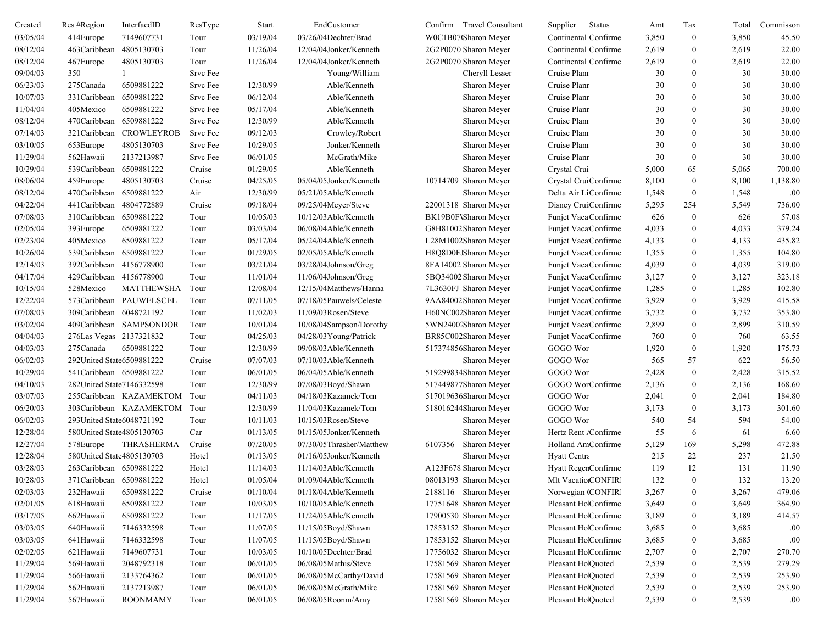| <b>Created</b> | Res #Region               | InterfacdID             | ResType  | <b>Start</b> | EndCustomer              | <b>Travel Consultant</b><br>Confirm | <b>Status</b><br>Supplier | <u>Amt</u> | $\frac{\text{Tax}}{\text{Lax}}$ | Total | Commisson |
|----------------|---------------------------|-------------------------|----------|--------------|--------------------------|-------------------------------------|---------------------------|------------|---------------------------------|-------|-----------|
| 03/05/04       | 414Europe                 | 7149607731              | Tour     | 03/19/04     | 03/26/04Dechter/Brad     | W0C1B07(Sharon Meyer                | Continental Confirme      | 3,850      | $\boldsymbol{0}$                | 3,850 | 45.50     |
| 08/12/04       | 463Caribbean              | 4805130703              | Tour     | 11/26/04     | 12/04/04Jonker/Kenneth   | 2G2P0070 Sharon Meyer               | Continental Confirme      | 2,619      | $\boldsymbol{0}$                | 2,619 | 22.00     |
| 08/12/04       | 467Europe                 | 4805130703              | Tour     | 11/26/04     | 12/04/04Jonker/Kenneth   | 2G2P0070 Sharon Meyer               | Continental Confirme      | 2,619      | $\boldsymbol{0}$                | 2,619 | 22.00     |
| 09/04/03       | 350                       |                         | Srvc Fee |              | Young/William            | Cheryll Lesser                      | Cruise Plann              | 30         | $\boldsymbol{0}$                | 30    | 30.00     |
| 06/23/03       | 275Canada                 | 6509881222              | Srvc Fee | 12/30/99     | Able/Kenneth             | Sharon Meyer                        | Cruise Plann              | 30         | $\boldsymbol{0}$                | 30    | 30.00     |
| 10/07/03       | 331Caribbean 6509881222   |                         | Srvc Fee | 06/12/04     | Able/Kenneth             | Sharon Meyer                        | Cruise Plann              | 30         | $\mathbf{0}$                    | 30    | 30.00     |
| 11/04/04       | 405Mexico                 | 6509881222              | Srvc Fee | 05/17/04     | Able/Kenneth             | Sharon Meyer                        | Cruise Plann              | 30         | $\boldsymbol{0}$                | 30    | 30.00     |
| 08/12/04       | 470Caribbean              | 6509881222              | Srvc Fee | 12/30/99     | Able/Kenneth             | Sharon Meyer                        | Cruise Plann              | 30         | $\boldsymbol{0}$                | 30    | 30.00     |
| 07/14/03       |                           | 321Caribbean CROWLEYROB | Srvc Fee | 09/12/03     | Crowley/Robert           | Sharon Meyer                        | Cruise Plann              | 30         | $\boldsymbol{0}$                | 30    | 30.00     |
| 03/10/05       | 653Europe                 | 4805130703              | Srvc Fee | 10/29/05     | Jonker/Kenneth           | Sharon Meyer                        | Cruise Plann              | 30         | $\boldsymbol{0}$                | 30    | 30.00     |
| 11/29/04       | 562Hawaii                 | 2137213987              | Srvc Fee | 06/01/05     | McGrath/Mike             | Sharon Meyer                        | Cruise Plann              | 30         | $\boldsymbol{0}$                | 30    | 30.00     |
| 10/29/04       | 539Caribbean 6509881222   |                         | Cruise   | 01/29/05     | Able/Kenneth             | Sharon Meyer                        | Crystal Crui              | 5,000      | 65                              | 5,065 | 700.00    |
| 08/06/04       | 459Europe                 | 4805130703              | Cruise   | 04/25/05     | 05/04/05Jonker/Kenneth   | 10714709 Sharon Meyer               | Crystal CruiConfirme      | 8,100      | $\boldsymbol{0}$                | 8,100 | 1,138.80  |
| 08/12/04       | 470Caribbean 6509881222   |                         | Air      | 12/30/99     | 05/21/05Able/Kenneth     | Sharon Meyer                        | Delta Air LiConfirme      | 1,548      | $\boldsymbol{0}$                | 1,548 | .00       |
| 04/22/04       | 441Caribbean 4804772889   |                         | Cruise   | 09/18/04     | 09/25/04Meyer/Steve      | 22001318 Sharon Meyer               | Disney CruiConfirme       | 5,295      | 254                             | 5,549 | 736.00    |
| 07/08/03       | 310Caribbean 6509881222   |                         | Tour     | 10/05/03     | 10/12/03Able/Kenneth     | BK19B0FVSharon Meyer                | Funjet VacatConfirme      | 626        | $\boldsymbol{0}$                | 626   | 57.08     |
| 02/05/04       | 393Europe                 | 6509881222              | Tour     | 03/03/04     | 06/08/04Able/Kenneth     | G8H81002 Sharon Meyer               | Funjet VacatConfirme      | 4,033      | $\boldsymbol{0}$                | 4,033 | 379.24    |
| 02/23/04       | 405Mexico                 | 6509881222              | Tour     | 05/17/04     | 05/24/04Able/Kenneth     | L28M1002Sharon Meyer                | Funjet VacatConfirme      | 4,133      | $\boldsymbol{0}$                | 4,133 | 435.82    |
| 10/26/04       | 539Caribbean 6509881222   |                         | Tour     | 01/29/05     | 02/05/05Able/Kenneth     | H8Q8D0FJSharon Meyer                | Funjet VacatConfirme      | 1,355      | $\boldsymbol{0}$                | 1,355 | 104.80    |
| 12/14/03       | 392Caribbean 4156778900   |                         | Tour     | 03/21/04     | 03/28/04Johnson/Greg     | 8FA14002 Sharon Meyer               | Funjet VacatConfirme      | 4,039      | $\boldsymbol{0}$                | 4,039 | 319.00    |
| 04/17/04       | 429Caribbean 4156778900   |                         | Tour     | 11/01/04     | $11/06/04$ Johnson/Greg  | 5BQ34002 Sharon Meyer               | Funjet VacatConfirme      | 3,127      | $\boldsymbol{0}$                | 3,127 | 323.18    |
| 10/15/04       | 528Mexico                 | <b>MATTHEWSHA</b>       | Tour     | 12/08/04     | 12/15/04Matthews/Hanna   | 7L3630FJ Sharon Meyer               | Funjet VacatConfirme      | 1,285      | $\boldsymbol{0}$                | 1,285 | 102.80    |
| 12/22/04       |                           | 573Caribbean PAUWELSCEL | Tour     | 07/11/05     | 07/18/05Pauwels/Celeste  | 9AA84002Sharon Meyer                | Funjet VacatConfirme      | 3,929      | $\boldsymbol{0}$                | 3,929 | 415.58    |
| 07/08/03       | 309Caribbean 6048721192   |                         | Tour     | 11/02/03     | 11/09/03Rosen/Steve      | H60NC002Sharon Meyer                | Funjet VacatConfirme      | 3,732      | $\boldsymbol{0}$                | 3,732 | 353.80    |
| 03/02/04       |                           | 409Caribbean SAMPSONDOR | Tour     | 10/01/04     | 10/08/04Sampson/Dorothy  | 5WN24002Sharon Meyer                | Funjet VacatConfirme      | 2,899      | $\boldsymbol{0}$                | 2,899 | 310.59    |
| 04/04/03       | 276Las Vegas 2137321832   |                         | Tour     | 04/25/03     | 04/28/03Young/Patrick    | BR85C002Sharon Meyer                | Funjet VacatConfirme      | 760        | $\boldsymbol{0}$                | 760   | 63.55     |
| 04/03/03       | 275Canada                 | 6509881222              | Tour     | 12/30/99     | 09/08/03Able/Kenneth     | 517374856Sharon Meyer               | GOGO Worl                 | 1,920      | $\boldsymbol{0}$                | 1,920 | 175.73    |
| 06/02/03       | 292United State6509881222 |                         | Cruise   | 07/07/03     | 07/10/03Able/Kenneth     | Sharon Meyer                        | GOGO Wor                  | 565        | 57                              | 622   | 56.50     |
| 10/29/04       | 541 Caribbean 6509881222  |                         | Tour     | 06/01/05     | 06/04/05Able/Kenneth     | 519299834Sharon Meyer               | GOGO Wor                  | 2,428      | $\boldsymbol{0}$                | 2,428 | 315.52    |
| 04/10/03       | 282United State7146332598 |                         | Tour     | 12/30/99     | 07/08/03Boyd/Shawn       | 517449877Sharon Meyer               | GOGO WorConfirme          | 2,136      | $\mathbf{0}$                    | 2,136 | 168.60    |
| 03/07/03       |                           | 255Caribbean KAZAMEKTOM | Tour     | 04/11/03     | 04/18/03Kazamek/Tom      | 517019636Sharon Meyer               | GOGO Wor                  | 2,041      | $\bf{0}$                        | 2,041 | 184.80    |
| 06/20/03       |                           | 303Caribbean KAZAMEKTOM | Tour     | 12/30/99     | 11/04/03Kazamek/Tom      | 518016244Sharon Meyer               | GOGO Wor                  | 3,173      | $\boldsymbol{0}$                | 3,173 | 301.60    |
| 06/02/03       | 293United State6048721192 |                         | Tour     | 10/11/03     | 10/15/03Rosen/Steve      | Sharon Meyer                        | GOGO Wor                  | 540        | 54                              | 594   | 54.00     |
| 12/28/04       | 580United State4805130703 |                         | Car      | 01/13/05     | 01/15/05Jonker/Kenneth   | Sharon Meyer                        | Hertz Rent Confirme       | 55         | 6                               | 61    | 6.60      |
| 12/27/04       | 578Europe                 | THRASHERMA              | Cruise   | 07/20/05     | 07/30/05Thrasher/Matthew | 6107356 Sharon Meyer                | Holland AmConfirme        | 5,129      | 169                             | 5,298 | 472.88    |
| 12/28/04       | 580United State4805130703 |                         | Hotel    | 01/13/05     | 01/16/05Jonker/Kenneth   | Sharon Meyer                        | Hyatt Centra              | 215        | 22                              | 237   | 21.50     |
| 03/28/03       | 263Caribbean 6509881222   |                         | Hotel    | 11/14/03     | 11/14/03Able/Kenneth     | A123F678 Sharon Meyer               | Hyatt RegenConfirme       | 119        | 12                              | 131   | 11.90     |
| 10/28/03       | 371Caribbean 6509881222   |                         | Hotel    | 01/05/04     | 01/09/04Able/Kenneth     | 08013193 Sharon Meyer               | Mlt VacatiorCONFIRI       | 132        | $\boldsymbol{0}$                | 132   | 13.20     |
| 02/03/03       | 232Hawaii                 | 6509881222              | Cruise   | 01/10/04     | 01/18/04Able/Kenneth     | 2188116 Sharon Meyer                | Norwegian (CONFIRI        | 3,267      | $\boldsymbol{0}$                | 3,267 | 479.06    |
| 02/01/05       | 618Hawaii                 | 6509881222              | Tour     | 10/03/05     | 10/10/05Able/Kenneth     | 17751648 Sharon Meyer               | Pleasant HolConfirme      | 3,649      | $\boldsymbol{0}$                | 3,649 | 364.90    |
| 03/17/05       | 662Hawaii                 | 6509881222              | Tour     | 11/17/05     | 11/24/05Able/Kenneth     | 17900530 Sharon Meyer               | Pleasant HolConfirme      | 3,189      | $\boldsymbol{0}$                | 3,189 | 414.57    |
| 03/03/05       | 640Hawaii                 | 7146332598              | Tour     | 11/07/05     | 11/15/05Boyd/Shawn       | 17853152 Sharon Meyer               | Pleasant HolConfirme      | 3,685      | $\boldsymbol{0}$                | 3,685 | .00       |
| 03/03/05       | 641Hawaii                 | 7146332598              | Tour     | 11/07/05     | 11/15/05Boyd/Shawn       | 17853152 Sharon Meyer               | Pleasant HolConfirme      | 3,685      | $\boldsymbol{0}$                | 3,685 | .00       |
| 02/02/05       | 621Hawaii                 | 7149607731              | Tour     | 10/03/05     | 10/10/05Dechter/Brad     | 17756032 Sharon Meyer               | Pleasant HolConfirme      | 2,707      | $\boldsymbol{0}$                | 2,707 | 270.70    |
| 11/29/04       | 569Hawaii                 | 2048792318              | Tour     | 06/01/05     | 06/08/05Mathis/Steve     | 17581569 Sharon Meyer               | Pleasant HolQuoted        | 2,539      | $\boldsymbol{0}$                | 2,539 | 279.29    |
| 11/29/04       | 566Hawaii                 | 2133764362              | Tour     | 06/01/05     | 06/08/05McCarthy/David   | 17581569 Sharon Meyer               | Pleasant HolQuoted        | 2,539      | 0                               | 2,539 | 253.90    |
| 11/29/04       | 562Hawaii                 | 2137213987              | Tour     | 06/01/05     | 06/08/05McGrath/Mike     | 17581569 Sharon Meyer               | Pleasant HolQuoted        | 2,539      | $\boldsymbol{0}$                | 2,539 | 253.90    |
| 11/29/04       | 567Hawaii                 | <b>ROONMAMY</b>         | Tour     | 06/01/05     | 06/08/05Roonm/Amy        | 17581569 Sharon Meyer               | Pleasant HolQuoted        | 2,539      | $\boldsymbol{0}$                | 2,539 | .00.      |